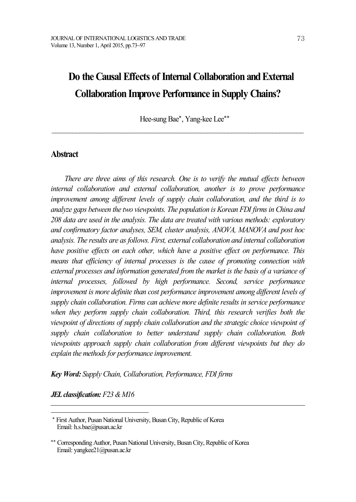Hee-sung Bae\*, Yang-kee Lee\*\*

 $\mathcal{L}_\text{max} = \mathcal{L}_\text{max} = \mathcal{L}_\text{max} = \mathcal{L}_\text{max} = \mathcal{L}_\text{max} = \mathcal{L}_\text{max} = \mathcal{L}_\text{max} = \mathcal{L}_\text{max} = \mathcal{L}_\text{max} = \mathcal{L}_\text{max} = \mathcal{L}_\text{max} = \mathcal{L}_\text{max} = \mathcal{L}_\text{max} = \mathcal{L}_\text{max} = \mathcal{L}_\text{max} = \mathcal{L}_\text{max} = \mathcal{L}_\text{max} = \mathcal{L}_\text{max} = \mathcal{$ 

# **Abstract**

*There are three aims of this research. One is to verify the mutual ef ects between internal collaboration and external collaboration, another is to prove performance improvement among dif erent levels of supply chain collaboration, and the third is to analyze gaps between the two viewpoints. The population is Korean FDI firmsin China and 208 data are used in the analysis. The data are treated with various methods: exploratory and confirmatory factor analyses, SEM, cluster analysis, ANOVA, MANOVA and post hoc analysis. The results are as follows. First, external collaboration and internal collaboration have positive ef ects on each other, which have a positive ef ect on performance. This means that ef iciency of internal processes is the cause of promoting connection with external processes and information generated from the market is the basis of a variance of internal processes, followed by high performance. Second, service performance improvement is more definite than cost performance improvement among dif erent levels of supply chain collaboration. Firms can achieve more definite results in service performance when they perform supply chain collaboration. Third, this research verifies both the viewpoint of directions of supply chain collaboration and the strategic choice viewpoint of supply chain collaboration to better understand supply chain collaboration. Both viewpoints approach supply chain collaboration from dif erent viewpoints but they do explain the methods for performance improvement.* 

*Key Word: Supply Chain, Collaboration, Performance, FDI firms*

*JELclassification: F23 &M16*

<sup>\*</sup> First Author, Pusan National University, BusanCity, Republic of Korea Email: h.s.bae@pusan.ac.kr

<sup>\*\*</sup> Corresponding Author, Pusan National University, BusanCity, Republic of Korea Email: yangkee21@pusan.ac.kr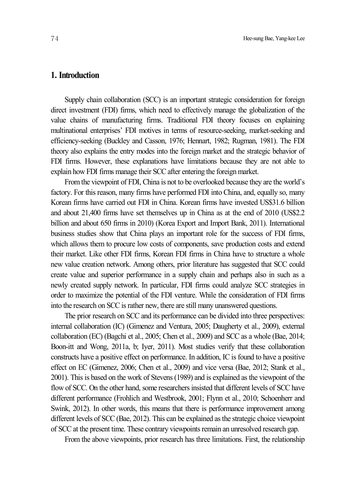# **1. Introduction**

Supply chain collaboration (SCC) is an important strategic consideration for foreign direct investment (FDI) firms, which need to effectively manage the globalization of the value chains of manufacturing firms. Traditional FDI theory focuses on explaining multinational enterprises' FDI motives in terms of resource-seeking, market-seeking and efficiency-seeking (Buckley and Casson, 1976; Hennart, 1982; Rugman, 1981). The FDI theory also explains the entry modes into the foreign market and the strategic behavior of FDI firms. However, these explanations have limitations because they are not able to explain how FDI firms manage their SCC after entering the foreign market.

Fromthe viewpoint of FDI, China is not to be overlooked because they are the world's factory. For this reason, many firms have performed FDI into China, and, equally so, many Korean firms have carried out FDI in China. Korean firms have invested US\$31.6 billion and about 21,400 firms have set themselves up in China as at the end of 2010 (US\$2.2 billion and about 650 firms in 2010) (Korea Export and Import Bank, 2011). International business studies show that China plays an important role for the success of FDI firms, which allows them to procure low costs of components, save production costs and extend their market. Like other FDI firms, Korean FDI firms in China have to structure a whole new value creation network. Among others, prior literature has suggested that SCC could create value and superior performance in a supply chain and perhaps also in such as a newly created supply network. In particular, FDI firms could analyze SCC strategies in order to maximize the potential of the FDI venture. While the consideration of FDI firms into the research on SCC is rather new, there are still many unanswered questions.

The prior research on SCC and its performance can be divided into three perspectives: internal collaboration (IC) (Gimenez and Ventura, 2005; Daugherty et al., 2009), external collaboration (EC) (Bagchi et al., 2005; Chen et al., 2009) and SCC as a whole (Bae, 2014; Boon-itt and Wong, 2011a, b; Iyer, 2011). Most studies verify that these collaboration constructs have a positive effect on performance. In addition, IC is found to have a positive effect on EC (Gimenez, 2006; Chen et al., 2009) and vice versa (Bae, 2012; Stank et al., 2001). This is based on the work of Stevens (1989) and is explained as the viewpoint of the flow of SCC. On the other hand, some researchers insisted that different levels of SCC have different performance (Frohlich and Westbrook, 2001; Flynn et al., 2010; Schoenherr and Swink, 2012). In other words, this means that there is performance improvement among different levels of SCC (Bae, 2012). This can be explained asthe strategic choice viewpoint of SCC at the present time. These contrary viewpoints remain an unresolved research gap.

From the above viewpoints, prior research has three limitations. First, the relationship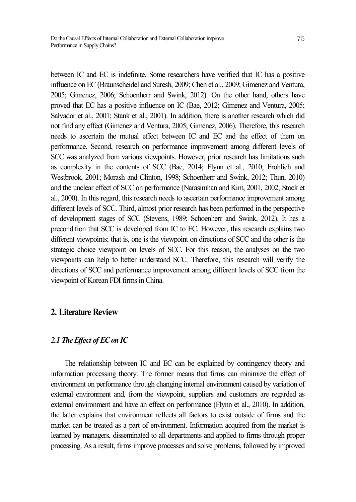between IC and EC is indefinite. Some researchers have verified that IC has a positive influence on EC (Braunscheidel and Suresh, 2009; Chen et al., 2009; Gimenez and Ventura, 2005; Gimenez, 2006; Schoenherr and Swink, 2012). On the other hand, others have proved that EC has a positive influence on IC (Bae, 2012; Gimenez and Ventura, 2005; Salvador et al., 2001; Stank et al., 2001). In addition, there is another research which did not find any effect (Gimenez and Ventura, 2005; Gimenez, 2006). Therefore, this research needs to ascertain the mutual effect between IC and EC and the effect of them on performance. Second, research on performance improvement among different levels of SCC was analyzed from various viewpoints. However, prior research has limitations such as complexity in the contents of SCC (Bae, 2014; Flynn et al., 2010; Frohlich and Westbrook, 2001; Morash and Clinton, 1998; Schoenherr and Swink, 2012; Thun, 2010) and the unclear effect of SCC on performance (Narasimhan and Kim, 2001, 2002; Stock et al., 2000). In this regard, this research needs to ascertain performance improvement among different levels of SCC. Third, almost prior research has been performed in the perspective of development stages of SCC (Stevens, 1989; Schoenherr and Swink, 2012). It has a precondition that SCC is developed from IC to EC. However, this research explains two different viewpoints; that is, one is the viewpoint on directions of SCC and the other is the strategic choice viewpoint on levels of SCC. For this reason, the analyses on the two viewpoints can help to better understand SCC. Therefore, this research will verify the directions of SCC and performance improvement among different levels of SCC from the viewpoint of Korean FDI firms in China.

# **2. Literature Review**

# *2.1 The Ef ect of ECon IC*

The relationship between IC and EC can be explained by contingency theory and information processing theory. The former means that firms can minimize the effect of environment on performance through changing internal environment caused by variation of external environment and, from the viewpoint, suppliers and customers are regarded as external environment and have an effect on performance (Flynn et al., 2010). In addition, the latter explains that environment reflects all factors to exist outside of firms and the market can be treated as a part of environment. Information acquired from the market is learned by managers, disseminated to all departments and applied to firms through proper processing. As a result, firms improve processes and solve problems, followed by improved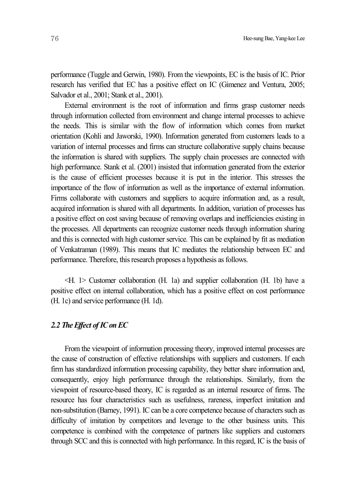performance (Tuggle and Gerwin, 1980). From the viewpoints, EC is the basis of IC. Prior research has verified that EC has a positive effect on IC (Gimenez and Ventura, 2005; Salvador et al., 2001; Stank et al., 2001).

External environment is the root of information and firms grasp customer needs through information collected from environment and change internal processes to achieve the needs. This is similar with the flow of information which comes from market orientation (Kohli and Jaworski, 1990). Information generated from customers leads to a variation of internal processes and firms can structure collaborative supply chains because the information is shared with suppliers. The supply chain processes are connected with high performance. Stank et al. (2001) insisted that information generated from the exterior is the cause of efficient processes because it is put in the interior. This stresses the importance of the flow of information as well as the importance of external information. Firms collaborate with customers and suppliers to acquire information and, as a result, acquired information is shared with all departments. In addition, variation of processes has a positive effect on cost saving because of removing overlaps and inefficiencies existing in the processes. All departments can recognize customer needs through information sharing and this is connected with high customer service. This can be explained by fit as mediation of Venkatraman (1989). This means that IC mediates the relationship between EC and performance. Therefore, this research proposes a hypothesis as follows.

<H. 1> Customer collaboration (H. 1a) and supplier collaboration (H. 1b) have a positive effect on internal collaboration, which has a positive effect on cost performance (H. 1c) and service performance (H. 1d).

### *2.2 The Ef ect ofIConEC*

From the viewpoint of information processing theory, improved internal processes are the cause of construction of effective relationships with suppliers and customers. If each firm has standardized information processing capability, they better share information and, consequently, enjoy high performance through the relationships. Similarly, from the viewpoint of resource-based theory, IC is regarded as an internal resource of firms. The resource has four characteristics such as usefulness, rareness, imperfect imitation and non-substitution (Barney, 1991). IC can be a core competence because of characters such as difficulty of imitation by competitors and leverage to the other business units. This competence is combined with the competence of partners like suppliers and customers through SCC and this is connected with high performance. In this regard, IC is the basis of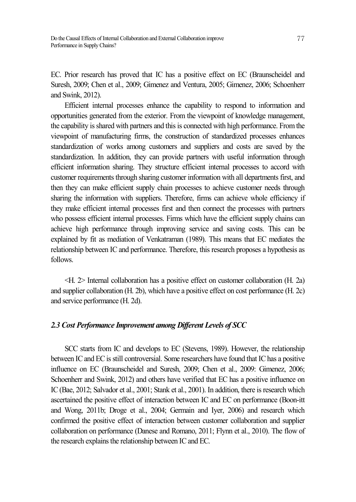EC. Prior research has proved that IC has a positive effect on EC (Braunscheidel and Suresh, 2009; Chen et al., 2009; Gimenez and Ventura, 2005; Gimenez, 2006; Schoenherr and Swink, 2012).

Efficient internal processes enhance the capability to respond to information and opportunities generated from the exterior. From the viewpoint of knowledge management, the capability is shared with partners and this is connected with high performance. From the viewpoint of manufacturing firms, the construction of standardized processes enhances standardization of works among customers and suppliers and costs are saved by the standardization. In addition, they can provide partners with useful information through efficient information sharing. They structure efficient internal processes to accord with customer requirements through sharing customer information with all departments first, and then they can make efficient supply chain processes to achieve customer needs through sharing the information with suppliers. Therefore, firms can achieve whole efficiency if they make efficient internal processes first and then connect the processes with partners who possess efficient internal processes. Firms which have the efficient supply chains can achieve high performance through improving service and saving costs. This can be explained by fit as mediation of Venkatraman (1989). This means that EC mediates the relationship between IC and performance. Therefore, this research proposes a hypothesis as follows.

<H. 2> Internal collaboration has a positive effect on customer collaboration (H. 2a) and supplier collaboration (H. 2b), which have a positive effect on cost performance (H. 2c) and service performance (H. 2d).

### *2.3 Cost Performance Improvement among Dif erent Levels of SCC*

SCC starts from IC and develops to EC (Stevens, 1989). However, the relationship between IC and EC is still controversial. Some researchers have found that IC has a positive influence on EC (Braunscheidel and Suresh, 2009; Chen et al., 2009: Gimenez, 2006; Schoenherr and Swink, 2012) and others have verified that EC has a positive influence on IC (Bae, 2012; Salvador et al., 2001; Stank et al., 2001). In addition, there is research which ascertained the positive effect of interaction between IC and EC on performance (Boon-itt and Wong, 2011b; Droge et al., 2004; Germain and Iyer, 2006) and research which confirmed the positive effect of interaction between customer collaboration and supplier collaboration on performance (Danese and Romano, 2011; Flynn et al., 2010). The flow of the research explains the relationship between IC and EC.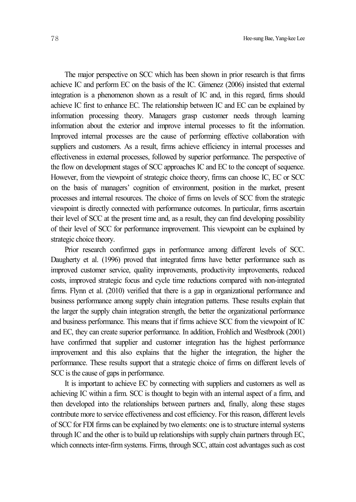The major perspective on SCC which has been shown in prior research is that firms achieve IC and perform EC on the basis of the IC. Gimenez (2006) insisted that external integration is a phenomenon shown as a result of IC and, in this regard, firms should achieve IC first to enhance EC. The relationship between IC and EC can be explained by information processing theory. Managers grasp customer needs through learning information about the exterior and improve internal processes to fit the information. Improved internal processes are the cause of performing effective collaboration with suppliers and customers. As a result, firms achieve efficiency in internal processes and effectiveness in external processes, followed by superior performance. The perspective of the flow on development stages of SCC approaches IC and EC to the concept of sequence. However, from the viewpoint of strategic choice theory, firms can choose IC, EC or SCC on the basis of managers' cognition of environment, position in the market, present processes and internal resources. The choice of firms on levels of SCC from the strategic viewpoint is directly connected with performance outcomes. In particular, firms ascertain their level of SCC at the present time and, as a result, they can find developing possibility of their level of SCC for performance improvement. This viewpoint can be explained by strategic choice theory.

Prior research confirmed gaps in performance among different levels of SCC. Daugherty et al. (1996) proved that integrated firms have better performance such as improved customer service, quality improvements, productivity improvements, reduced costs, improved strategic focus and cycle time reductions compared with non-integrated firms. Flynn et al. (2010) verified that there is a gap in organizational performance and business performance among supply chain integration patterns. These results explain that the larger the supply chain integration strength, the better the organizational performance and business performance. This means that if firms achieve SCC from the viewpoint of IC and EC, they can create superior performance. In addition, Frohlich and Westbrook (2001) have confirmed that supplier and customer integration has the highest performance improvement and this also explains that the higher the integration, the higher the performance. These results support that a strategic choice of firms on different levels of SCC is the cause of gaps in performance.

It is important to achieve EC by connecting with suppliers and customers as well as achieving IC within a firm. SCC is thought to begin with an internal aspect of a firm, and then developed into the relationships between partners and, finally, along these stages contribute more to service effectiveness and cost efficiency. For this reason, different levels of SCC for FDI firms can be explained by two elements: one isto structure internal systems through IC and the other is to build up relationships with supply chain partners through EC, which connects inter-firm systems. Firms, through SCC, attain cost advantages such as cost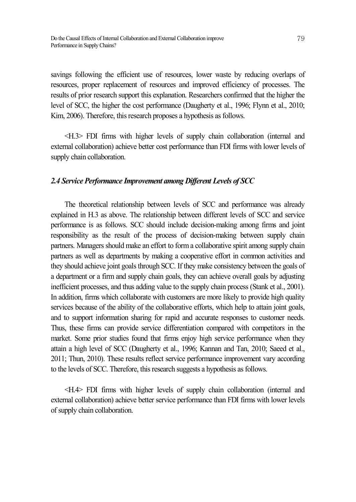savings following the efficient use of resources, lower waste by reducing overlaps of resources, proper replacement of resources and improved efficiency of processes. The results of prior research support this explanation. Researchers confirmed that the higher the level of SCC, the higher the cost performance (Daugherty et al., 1996; Flynn et al., 2010; Kim, 2006). Therefore, this research proposes a hypothesis as follows.

<H.3> FDI firms with higher levels of supply chain collaboration (internal and external collaboration) achieve better cost performance than FDI firms with lower levels of supply chain collaboration.

#### *2.4 Service Performance Improvement among Dif erent Levels of SCC*

The theoretical relationship between levels of SCC and performance was already explained in H.3 as above. The relationship between different levels of SCC and service performance is as follows. SCC should include decision-making among firms and joint responsibility as the result of the process of decision-making between supply chain partners. Managers should make an effort to forma collaborative spirit among supply chain partners as well as departments by making a cooperative effort in common activities and they should achieve joint goals through SCC. If they make consistency between the goals of a department or a firm and supply chain goals, they can achieve overall goals by adjusting inefficient processes, and thus adding value to the supply chain process (Stank et al., 2001). In addition, firms which collaborate with customers are more likely to provide high quality services because of the ability of the collaborative efforts, which help to attain joint goals, and to support information sharing for rapid and accurate responses to customer needs. Thus, these firms can provide service differentiation compared with competitors in the market. Some prior studies found that firms enjoy high service performance when they attain a high level of SCC (Daugherty et al., 1996; Kannan and Tan, 2010; Saeed et al., 2011; Thun, 2010). These results reflect service performance improvement vary according to the levels of SCC. Therefore, this research suggests a hypothesis as follows.

<H.4> FDI firms with higher levels of supply chain collaboration (internal and external collaboration) achieve better service performance than FDI firms with lower levels of supply chain collaboration.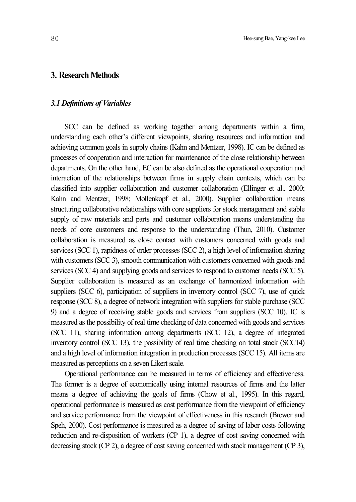## **3. Research Methods**

### *3.1 Definitions of Variables*

SCC can be defined as working together among departments within a firm, understanding each other's different viewpoints, sharing resources and information and achieving common goals in supply chains (Kahn and Mentzer, 1998). IC can be defined as processes of cooperation and interaction for maintenance of the close relationship between departments. On the other hand, EC can be also defined as the operational cooperation and interaction of the relationships between firms in supply chain contexts, which can be classified into supplier collaboration and customer collaboration (Ellinger et al., 2000; Kahn and Mentzer, 1998; Mollenkopf et al., 2000). Supplier collaboration means structuring collaborative relationships with core suppliers for stock management and stable supply of raw materials and parts and customer collaboration means understanding the needs of core customers and response to the understanding (Thun, 2010). Customer collaboration is measured as close contact with customers concerned with goods and services (SCC 1), rapidness of order processes (SCC 2), a high level of information sharing with customers (SCC 3), smooth communication with customers concerned with goods and services (SCC 4) and supplying goods and services to respond to customer needs (SCC 5). Supplier collaboration is measured as an exchange of harmonized information with suppliers (SCC 6), participation of suppliers in inventory control (SCC 7), use of quick response (SCC 8), a degree of network integration with suppliers for stable purchase (SCC 9) and a degree of receiving stable goods and services from suppliers (SCC 10). IC is measured as the possibility of real time checking of data concerned with goods and services (SCC 11), sharing information among departments (SCC 12), a degree of integrated inventory control (SCC 13), the possibility of real time checking on total stock (SCC14) and a high level of information integration in production processes (SCC 15). All items are measured as perceptions on a seven Likert scale.

Operational performance can be measured in terms of efficiency and effectiveness. The former is a degree of economically using internal resources of firms and the latter means a degree of achieving the goals of firms (Chow et al., 1995). In this regard, operational performance is measured as cost performance from the viewpoint of efficiency and service performance from the viewpoint of effectiveness in this research (Brewer and Speh, 2000). Cost performance is measured as a degree of saving of labor costs following reduction and re-disposition of workers (CP 1), a degree of cost saving concerned with decreasing stock (CP 2), a degree of cost saving concerned with stock management (CP 3),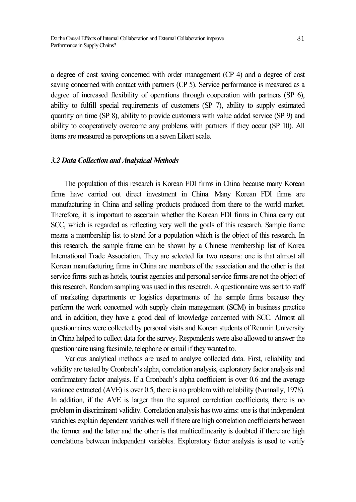a degree of cost saving concerned with order management (CP 4) and a degree of cost saving concerned with contact with partners (CP 5). Service performance is measured as a degree of increased flexibility of operations through cooperation with partners (SP 6), ability to fulfill special requirements of customers (SP 7), ability to supply estimated quantity on time (SP 8), ability to provide customers with value added service (SP 9) and ability to cooperatively overcome any problems with partners if they occur (SP 10). All items are measured as perceptions on a seven Likert scale.

#### *3.2 Data Collection and Analytical Methods*

The population of this research is Korean FDI firms in China because many Korean firms have carried out direct investment in China. Many Korean FDI firms are manufacturing in China and selling products produced from there to the world market. Therefore, it is important to ascertain whether the Korean FDI firms in China carry out SCC, which is regarded as reflecting very well the goals of this research. Sample frame means a membership list to stand for a population which is the object of this research. In this research, the sample frame can be shown by a Chinese membership list of Korea International Trade Association. They are selected for two reasons: one is that almost all Korean manufacturing firms in China are members of the association and the other is that service firms such as hotels, tourist agencies and personal service firms are not the object of this research. Random sampling was used in this research. A questionnaire was sent to staff of marketing departments or logistics departments of the sample firms because they perform the work concerned with supply chain management (SCM) in business practice and, in addition, they have a good deal of knowledge concerned with SCC. Almost all questionnaires were collected by personal visits and Korean students of Renmin University in China helped to collect data for the survey. Respondents were also allowed to answer the questionnaire using facsimile, telephone or email if they wanted to.

Various analytical methods are used to analyze collected data. First, reliability and validity are tested by Cronbach's alpha, correlation analysis, exploratory factor analysis and confirmatory factor analysis. If a Cronbach's alpha coefficient is over 0.6 and the average variance extracted (AVE) is over 0.5, there is no problem with reliability (Nunnally, 1978). In addition, if the AVE is larger than the squared correlation coefficients, there is no problemin discriminant validity. Correlation analysis has two aims: one is that independent variables explain dependent variables well if there are high correlation coefficients between the former and the latter and the other is that multicollinearity is doubted if there are high correlations between independent variables. Exploratory factor analysis is used to verify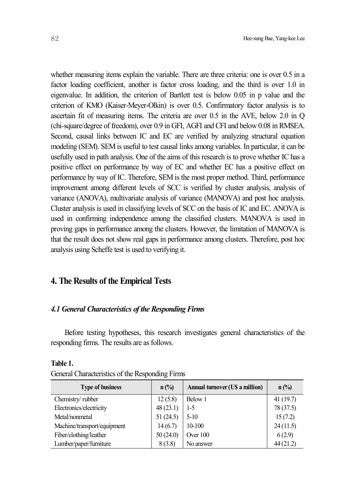whether measuring items explain the variable. There are three criteria: one is over 0.5 in a factor loading coefficient, another is factor cross loading, and the third is over 1.0 in eigenvalue. In addition, the criterion of Bartlett test is below 0.05 in p value and the criterion of KMO (Kaiser-Meyer-Olkin) is over 0.5. Confirmatory factor analysis is to ascertain fit of measuring items. The criteria are over 0.5 in the AVE, below 2.0 in Q (chi-square/degree of freedom), over 0.9 in GFI, AGFI and CFI and below 0.08 in RMSEA. Second, causal links between IC and EC are verified by analyzing structural equation modeling (SEM). SEM is useful to test causal links among variables. In particular, it can be usefully used in path analysis. One of the aims of this research is to prove whether IC has a positive effect on performance by way of EC and whether EC has a positive effect on performance by way of IC. Therefore, SEM is the most proper method. Third, performance improvement among different levels of SCC is verified by cluster analysis, analysis of variance (ANOVA), multivariate analysis of variance (MANOVA) and post hoc analysis. Cluster analysis is used in classifying levels of SCC on the basis of IC and EC. ANOVA is used in confirming independence among the classified clusters. MANOVA is used in proving gaps in performance among the clusters. However, the limitation of MANOVA is that the result does not show real gaps in performance among clusters. Therefore, post hoc

# **4. The Results of the Empirical Tests**

analysis using Scheffe test is used to verifying it.

### *4.1 General Characteristics of the RespondingFirms*

Before testing hypotheses, this research investigates general characteristics of the responding firms. The results are as follows.

| <b>Type of business</b>     | $n$ (%)  | Annual turnover (U\$ a million) | $n$ (%)   |
|-----------------------------|----------|---------------------------------|-----------|
| Chemistry/rubber            | 12(5.8)  | Below 1                         | 41(19.7)  |
| Electronics/electricity     | 48(23.1) | $1-5$                           | 78 (37.5) |
| Metal/nonmetal              | 51(24.5) | $5-10$                          | 15(7.2)   |
| Machine/transport/equipment | 14(6.7)  | 10-100                          | 24(11.5)  |
| Fiber/clothing/leather      | 50(24.0) | Over $100$                      | 6(2.9)    |
| Lumber/paper/furniture      | 8(3.8)   | No answer                       | 44(21.2)  |

#### **Table 1.**

|  | General Characteristics of the Responding Firms |  |  |  |  |  |
|--|-------------------------------------------------|--|--|--|--|--|
|--|-------------------------------------------------|--|--|--|--|--|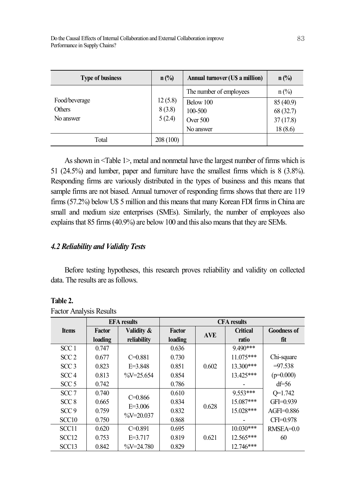| <b>Type of business</b> | $n$ (%)   | Annual turnover (US a million) | $n$ (%)         |
|-------------------------|-----------|--------------------------------|-----------------|
|                         |           | The number of employees        | $n\binom{0}{0}$ |
| Food/beverage           | 12(5.8)   | Below 100                      | 85 (40.9)       |
| <b>Others</b>           | 8(3.8)    | 100-500                        | 68(32.7)        |
| No answer               | 5(2.4)    | Over $500$                     | 37(17.8)        |
|                         |           | No answer                      | 18(8.6)         |
| Total                   | 208 (100) |                                |                 |

As shown in <Table 1>, metal and nonmetal have the largest number of firms which is 51 (24.5%) and lumber, paper and furniture have the smallest firms which is 8 (3.8%). Responding firms are variously distributed in the types of business and this means that sample firms are not biased. Annual turnover of responding firms shows that there are 119 firms (57.2%) below U\$ 5 million and this means that many Korean FDI firms in China are small and medium size enterprises (SMEs). Similarly, the number of employees also explains that 85 firms (40.9%) are below 100 and this also means that they are SEMs.

# *4.2 Reliability and Validity Tests*

Before testing hypotheses, this research proves reliability and validity on collected data. The results are as follows.

## **Table 2.**

|                   |               | <b>EFA</b> results      | <b>CFA</b> results |            |                 |                    |  |
|-------------------|---------------|-------------------------|--------------------|------------|-----------------|--------------------|--|
| <b>Items</b>      | <b>Factor</b> | Validity &              | <b>Factor</b>      | <b>AVE</b> | <b>Critical</b> | <b>Goodness of</b> |  |
|                   | loading       | reliability             | loading            |            | ratio           | fit                |  |
| SCC <sub>1</sub>  | 0.747         |                         | 0.636              |            | $9490***$       |                    |  |
| SCC2              | 0.677         | $C = 0.881$             | 0.730              |            | $11.075***$     | Chi-square         |  |
| SCC <sub>3</sub>  | 0.823         | $E = 3.848$             | 0.851              | 0.602      | $13.300***$     | $=97.538$          |  |
| SCC4              | 0.813         | $\frac{0}{0}V = 25.654$ | 0.854              |            | 13.425***       | $(p=0.000)$        |  |
| SCC <sub>5</sub>  | 0.742         |                         | 0.786              |            |                 | $df = 56$          |  |
| SCC <sub>7</sub>  | 0.740         | $C = 0.866$             | 0.610              |            | $9.553***$      | $Q=1.742$          |  |
| SCC <sub>8</sub>  | 0.665         | $E = 3.006$             | 0.834              | 0.628      | 15.087***       | GFI=0.939          |  |
| SCC9              | 0.759         |                         | 0.832              |            | $15.028***$     | $AGFI=0.886$       |  |
| SCC <sub>10</sub> | 0.750         | $\%V = 20.037$          | 0.868              |            |                 | CFI=0.978          |  |
| SCC <sub>11</sub> | 0.620         | $C = 0.891$             | 0.695              |            | $10.030***$     | $RMSEA=0.0$        |  |
| SCC <sub>12</sub> | 0.753         | $E = 3.717$             | 0.819              | 0.621      | 12.565***       | 60                 |  |
| SCC <sub>13</sub> | 0.842         | $\frac{0}{0}V = 24.780$ | 0.829              |            | 12.746***       |                    |  |

Factor Analysis Results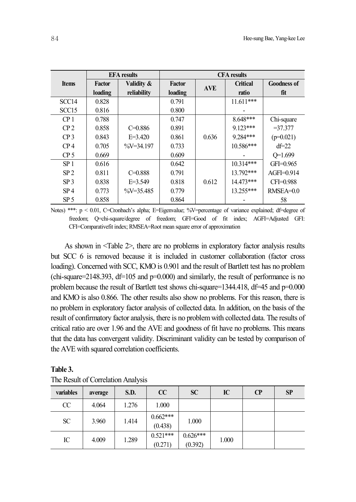|                   |                          | <b>EFA</b> results        | <b>CFA</b> results       |            |                          |                           |  |
|-------------------|--------------------------|---------------------------|--------------------------|------------|--------------------------|---------------------------|--|
| <b>Items</b>      | <b>Factor</b><br>loading | Validity &<br>reliability | <b>Factor</b><br>loading | <b>AVE</b> | <b>Critical</b><br>ratio | <b>Goodness of</b><br>fit |  |
| SCC <sub>14</sub> | 0.828                    |                           | 0.791                    |            | $11.611***$              |                           |  |
| SCC <sub>15</sub> | 0.816                    |                           | 0.800                    |            |                          |                           |  |
| CP <sub>1</sub>   | 0.788                    |                           | 0.747                    |            | 8.648***                 | Chi-square                |  |
| CP <sub>2</sub>   | 0.858                    | $C = 0.886$               | 0.891                    |            | $9.123***$               | $= 37.377$                |  |
| CP <sub>3</sub>   | 0.843                    | $E = 3.420$               | 0.861                    | 0.636      | 9.284***                 | $(p=0.021)$               |  |
| CP <sub>4</sub>   | 0.705                    | $\frac{0}{0}V = 34.197$   | 0.733                    |            | 10.586***                | $df=22$                   |  |
| CP <sub>5</sub>   | 0.669                    |                           | 0.609                    |            |                          | $Q=1.699$                 |  |
| SP <sub>1</sub>   | 0.616                    |                           | 0.642                    |            | 10.314***                | $GFI = 0.965$             |  |
| SP <sub>2</sub>   | 0.811                    | $C = 0.888$               | 0.791                    |            | 13.792***                | $AGFI=0.914$              |  |
| SP <sub>3</sub>   | 0.838                    | $E = 3.549$               | 0.818                    | 0.612      | 14.473***                | $CFI = 0.988$             |  |
| SP <sub>4</sub>   | 0.773                    | $\frac{0}{0}V = 35.485$   | 0.779                    |            | 13.255***                | $RMSEA=0.0$               |  |
| SP <sub>5</sub>   | 0.858                    |                           | 0.864                    |            |                          | 58                        |  |

Notes) \*\*\*:  $p < 0.01$ , C=Cronbach's alpha; E=Eigenvalue; %V=percentage of variance explained; df=degree of freedom; Q=chi-square/degree of freedom; GFI=Good of fit index; AGFI=Adjusted GFI: CFI=Comparativefit index; RMSEA=Root mean square error of approximation

As shown in <Table 2>, there are no problems in exploratory factor analysis results but SCC 6 is removed because it is included in customer collaboration (factor cross loading). Concerned with SCC, KMO is 0.901 and the result of Bartlett test has no problem  $(\text{chi-square}=2148.393, df=105 and p=0.000)$  and similarly, the result of performance is no problem because the result of Bartlett test shows chi-square=1344.418, df=45 and p=0.000 and KMO is also 0.866. The other results also show no problems. For this reason, there is no problem in exploratory factor analysis of collected data. In addition, on the basis of the result of confirmatory factor analysis, there is no problemwith collected data. The results of critical ratio are over 1.96 and the AVE and goodness of fit have no problems. This means that the data has convergent validity. Discriminant validity can be tested by comparison of the AVE with squared correlation coefficients.

| variables | average | S.D.  | $\bf CC$              | <b>SC</b>             | IC    | $\bf CP$ | <b>SP</b> |
|-----------|---------|-------|-----------------------|-----------------------|-------|----------|-----------|
| CC        | 4.064   | 1.276 | 1.000                 |                       |       |          |           |
| <b>SC</b> | 3.960   | 1.414 | $0.662***$<br>(0.438) | 1.000                 |       |          |           |
| IC        | 4.009   | 1.289 | $0.521***$<br>(0.271) | $0.626***$<br>(0.392) | 1.000 |          |           |

| Table 3. |                                    |  |
|----------|------------------------------------|--|
|          | The Result of Correlation Analysis |  |

**Table 3.**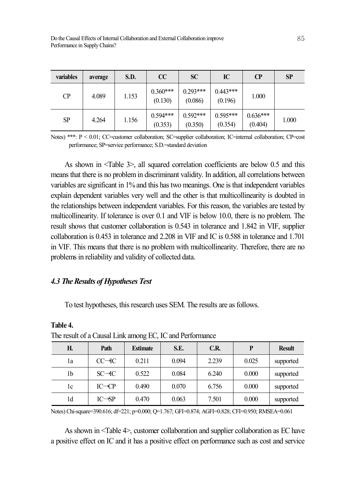| variables | average | S.D.  | CC                    | <b>SC</b>             | IC                    | $\bf CP$              | SP    |
|-----------|---------|-------|-----------------------|-----------------------|-----------------------|-----------------------|-------|
| СP        | 4.089   | 1.153 | $0.360***$<br>(0.130) | $0.293***$<br>(0.086) | $0.443***$<br>(0.196) | 1.000                 |       |
| SP        | 4.264   | 1.156 | $0.594***$<br>(0.353) | $0.592***$<br>(0.350) | $0.595***$<br>(0.354) | $0.636***$<br>(0.404) | 1.000 |

Notes) \*\*\*: P < 0.01; CC=customer collaboration; SC=supplier collaboration; IC=internal collaboration; CP=cost performance; SP=service performance; S.D.=standard deviation

As shown in <Table 3>, all squared correlation coefficients are below 0.5 and this means that there is no problemin discriminant validity. In addition, all correlations between variables are significant in 1% and this has two meanings. One isthat independent variables explain dependent variables very well and the other is that multicollinearity is doubted in the relationships between independent variables. For this reason, the variables are tested by multicollinearity. If tolerance is over 0.1 and VIF is below 10.0, there is no problem. The result shows that customer collaboration is 0.543 in tolerance and 1.842 in VIF, supplier collaboration is 0.453 in tolerance and 2.208 in VIF and IC is 0.588 in tolerance and 1.701 in VIF. This means that there is no problem with multicollinearity. Therefore, there are no problems in reliability and validity of collected data.

### *4.3 The Results of Hypotheses Test*

To test hypotheses, this research uses SEM. The results are as follows.

| THE TESHIT OF a Causal Link among LC, TC and I CHOMMANC |                     |                 |       |       |       |               |  |  |  |
|---------------------------------------------------------|---------------------|-----------------|-------|-------|-------|---------------|--|--|--|
| Н.                                                      | Path                | <b>Estimate</b> | S.E.  | C.R.  | P     | <b>Result</b> |  |  |  |
| lа                                                      | $CC \rightarrow C$  | 0.211           | 0.094 | 2.239 | 0.025 | supported     |  |  |  |
| 1b                                                      | $SC \rightarrow IC$ | 0.522           | 0.084 | 6.240 | 0.000 | supported     |  |  |  |
| 1c                                                      | $IC \rightarrow CP$ | 0.490           | 0.070 | 6.756 | 0.000 | supported     |  |  |  |
| 1d                                                      | $IC \rightarrow SP$ | 0.470           | 0.063 | 7.501 | 0.000 | supported     |  |  |  |

#### **Table 4.**

The result of a Causal Link among EC, IC and Performance

Notes) Chi-square=390.616; df=221; p=0.000; Q=1.767; GFI=0.874; AGFI=0.828; CFI=0.950; RMSEA=0.061

As shown in <Table 4>, customer collaboration and supplier collaboration as EC have a positive effect on IC and it has a positive effect on performance such as cost and service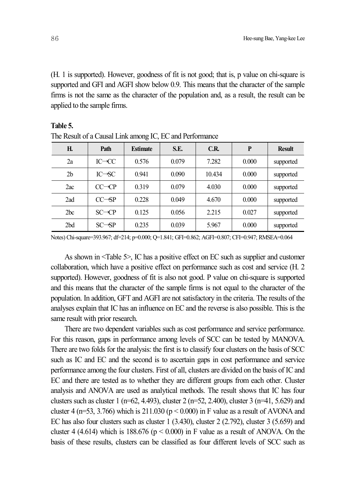(H. 1 is supported). However, goodness of fit is not good; that is, p value on chi-square is supported and GFI and AGFI show below 0.9. This means that the character of the sample firms is not the same as the character of the population and, as a result, the result can be applied to the sample firms.

| <b>Result</b> | P     | C.R.   | S.E.  | <b>Estimate</b> | Path                | Η.             |  |  |  |  |
|---------------|-------|--------|-------|-----------------|---------------------|----------------|--|--|--|--|
| supported     | 0.000 | 7.282  | 0.079 | 0.576           | $IC \rightarrow CC$ | 2a             |  |  |  |  |
| supported     | 0.000 | 10.434 | 0.090 | 0.941           | $IC \rightarrow SC$ | 2 <sub>b</sub> |  |  |  |  |
| supported     | 0.000 | 4.030  | 0.079 | 0.319           | $CC \rightarrow CP$ | 2ac            |  |  |  |  |
| supported     | 0.000 | 4.670  | 0.049 | 0.228           | $CC \rightarrow SP$ | 2ad            |  |  |  |  |
| supported     | 0.027 | 2.215  | 0.056 | 0.125           | $SC = CP$           | 2bc            |  |  |  |  |
| supported     | 0.000 | 5.967  | 0.039 | 0.235           | $SC \rightarrow SP$ | 2bd            |  |  |  |  |

### **Table 5.** The Result of a Causal Link among IC, EC and Performance

Notes) Chi-square=393.967; df=214; p=0.000; Q=1.841; GFI=0.862; AGFI=0.807; CFI=0.947; RMSEA=0.064

As shown in <Table 5>, IC has a positive effect on EC such as supplier and customer collaboration, which have a positive effect on performance such as cost and service (H. 2 supported). However, goodness of fit is also not good. P value on chi-square is supported and this means that the character of the sample firms is not equal to the character of the population. In addition, GFT and AGFI are not satisfactory in the criteria. The results of the analyses explain that IC has an influence on EC and the reverse is also possible. This is the same result with prior research.

There are two dependent variables such as cost performance and service performance. For this reason, gaps in performance among levels of SCC can be tested by MANOVA. There are two folds for the analysis: the first is to classify four clusters on the basis of SCC such as IC and EC and the second is to ascertain gaps in cost performance and service performance among the four clusters. First of all, clusters are divided on the basis of IC and EC and there are tested as to whether they are different groups from each other. Cluster analysis and ANOVA are used as analytical methods. The result shows that IC has four clusters such as cluster 1 (n=62, 4.493), cluster 2 (n=52, 2.400), cluster 3 (n=41, 5.629) and cluster 4 (n=53, 3.766) which is 211.030 ( $p < 0.000$ ) in F value as a result of AVONA and EC has also four clusters such as cluster  $1$  (3.430), cluster  $2$  (2.792), cluster  $3$  (5.659) and cluster 4 (4.614) which is 188.676 ( $p < 0.000$ ) in F value as a result of ANOVA. On the basis of these results, clusters can be classified as four different levels of SCC such as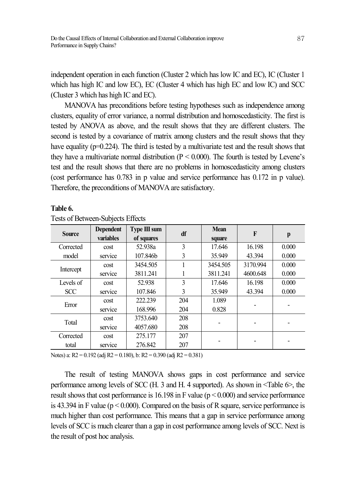independent operation in each function (Cluster 2 which has low IC and EC), IC (Cluster 1 which has high IC and low EC), EC (Cluster 4 which has high EC and low IC) and SCC (Cluster 3 which has high IC and EC).

MANOVA has preconditions before testing hypotheses such as independence among clusters, equality of error variance, a normal distribution and homoscedasticity. The first is tested by ANOVA as above, and the result shows that they are different clusters. The second is tested by a covariance of matrix among clusters and the result shows that they have equality (p=0.224). The third is tested by a multivariate test and the result shows that they have a multivariate normal distribution ( $P < 0.000$ ). The fourth is tested by Levene's test and the result shows that there are no problems in homoscedasticity among clusters (cost performance has 0.783 in p value and service performance has 0.172 in p value). Therefore, the preconditions of MANOVA are satisfactory.

|               | Tests of Detween-Subjects Effects |                            |               |                       |          |       |  |  |  |  |
|---------------|-----------------------------------|----------------------------|---------------|-----------------------|----------|-------|--|--|--|--|
| <b>Source</b> | <b>Dependent</b><br>variables     | Type III sum<br>of squares | df            | <b>Mean</b><br>square | $\bf{F}$ | p     |  |  |  |  |
| Corrected     | cost                              | 52.938a                    | 3             | 17.646                | 16.198   | 0.000 |  |  |  |  |
| model         | service                           | 107.846b                   | 3             | 35.949                | 43.394   | 0.000 |  |  |  |  |
|               | cost                              | 3454.505                   |               | 3454.505              | 3170.994 | 0.000 |  |  |  |  |
| Intercept     | service                           | 3811.241                   |               | 3811.241              | 4600.648 | 0.000 |  |  |  |  |
| Levels of     | cost                              | 52.938                     | $\mathcal{E}$ | 17.646                | 16.198   | 0.000 |  |  |  |  |
| <b>SCC</b>    | service                           | 107.846                    | 3             | 35.949                | 43.394   | 0.000 |  |  |  |  |
|               | cost                              | 222.239                    | 204           | 1.089                 |          |       |  |  |  |  |
| Error         | service                           | 168.996                    | 204           | 0.828                 |          |       |  |  |  |  |
|               | cost                              | 3753.640                   | 208           |                       |          |       |  |  |  |  |
| Total         | service                           | 4057.680                   | 208           |                       |          |       |  |  |  |  |
| Corrected     | cost                              | 275.177                    | 207           |                       |          |       |  |  |  |  |
| total         | service                           | 276.842                    | 207           |                       |          |       |  |  |  |  |

#### **Table 6.**

Tests of Between-Subjects Effects

Notes) a: R2 = 0.192 (adj R2 = 0.180), b: R2 = 0.390 (adj R2 = 0.381)

The result of testing MANOVA shows gaps in cost performance and service performance among levels of SCC (H. 3 and H. 4 supported). As shown in <Table 6>, the result shows that cost performance is 16.198 in F value ( $p < 0.000$ ) and service performance is 43.394 in F value ( $p < 0.000$ ). Compared on the basis of R square, service performance is much higher than cost performance. This means that a gap in service performance among levels of SCC is much clearer than a gap in cost performance among levels of SCC. Next is the result of post hoc analysis.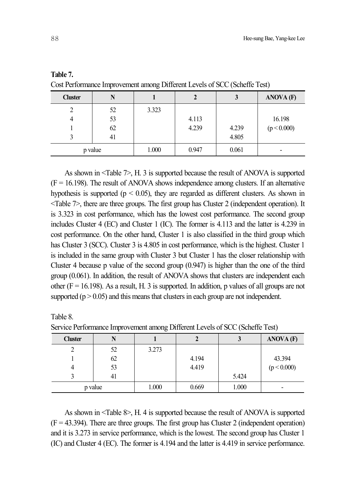|                |         | _     |       |       |                  |
|----------------|---------|-------|-------|-------|------------------|
| <b>Cluster</b> | N       |       |       | J     | <b>ANOVA</b> (F) |
| 2              | 52      | 3.323 |       |       |                  |
| 4              | 53      |       | 4.113 |       | 16.198           |
|                | 62      |       | 4.239 | 4.239 | (p < 0.000)      |
|                | 41      |       |       | 4.805 |                  |
|                | p value | 1.000 | 0.947 | 0.061 |                  |

**Table 7.**

Cost Performance Improvement among Different Levels of SCC(Scheffe Test)

As shown in <Table 7>, H. 3 is supported because the result of ANOVA is supported  $(F = 16.198)$ . The result of ANOVA shows independence among clusters. If an alternative hypothesis is supported ( $p < 0.05$ ), they are regarded as different clusters. As shown in <Table 7>, there are three groups. The first group has Cluster 2 (independent operation). It is 3.323 in cost performance, which has the lowest cost performance. The second group includes Cluster 4 (EC) and Cluster 1 (IC). The former is 4.113 and the latter is 4.239 in cost performance. On the other hand, Cluster 1 is also classified in the third group which has Cluster 3 (SCC). Cluster 3 is 4.805 in cost performance, which is the highest. Cluster 1 is included in the same group with Cluster 3 but Cluster 1 has the closer relationship with Cluster 4 because p value of the second group (0.947) is higher than the one of the third group (0.061). In addition, the result of ANOVA shows that clusters are independent each other ( $F = 16.198$ ). As a result, H. 3 is supported. In addition, p values of all groups are not supported ( $p > 0.05$ ) and this means that clusters in each group are not independent.

Table 8. Service Performance Improvement among Different Levels of SCC (Scheffe Test)

| <b>Cluster</b> |    |       |       |       | <b>ANOVA</b> (F) |
|----------------|----|-------|-------|-------|------------------|
|                | 52 | 3.273 |       |       |                  |
|                | 62 |       | 4.194 |       | 43.394           |
|                | 53 |       | 4.419 |       | (p < 0.000)      |
|                | 41 |       |       | 5.424 |                  |
| p value        |    | 1.000 | 0.669 | 1.000 | -                |

As shown in <Table 8>, H. 4 is supported because the result of ANOVA is supported  $(F = 43.394)$ . There are three groups. The first group has Cluster 2 (independent operation) and it is 3.273 in service performance, which is the lowest. The second group has Cluster 1 (IC) and Cluster 4 (EC). The former is 4.194 and the latter is 4.419 in service performance.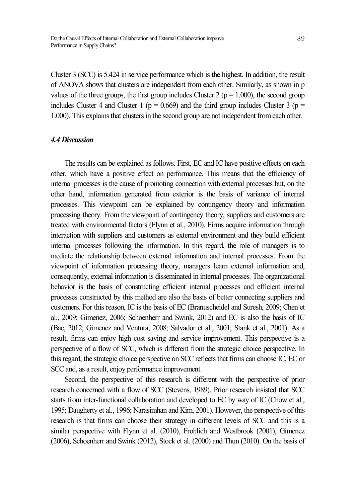Cluster 3 (SCC) is 5.424 in service performance which is the highest. In addition, the result of ANOVA shows that clusters are independent from each other. Similarly, as shown in p values of the three groups, the first group includes Cluster 2 ( $p = 1.000$ ), the second group includes Cluster 4 and Cluster 1 ( $p = 0.669$ ) and the third group includes Cluster 3 ( $p =$ 1.000). This explains that clusters in the second group are not independent from each other.

### *4.4 Discussion*

The results can be explained as follows. First, EC and IC have positive effects on each other, which have a positive effect on performance. This means that the efficiency of internal processes is the cause of promoting connection with external processes but, on the other hand, information generated from exterior is the basis of variance of internal processes. This viewpoint can be explained by contingency theory and information processing theory. From the viewpoint of contingency theory, suppliers and customers are treated with environmental factors (Flynn et al., 2010). Firms acquire information through interaction with suppliers and customers as external environment and they build efficient internal processes following the information. In this regard, the role of managers is to mediate the relationship between external information and internal processes. From the viewpoint of information processing theory, managers learn external information and, consequently, external information is disseminated in internal processes. The organizational behavior is the basis of constructing efficient internal processes and efficient internal processes constructed by this method are also the basis of better connecting suppliers and customers. For this reason, IC is the basis of EC (Branuscheidel and Suresh, 2009; Chen et al., 2009; Gimenez, 2006; Schoenherr and Swink, 2012) and EC is also the basis of IC (Bae, 2012; Gimenez and Ventura, 2008; Salvador et al., 2001; Stank et al., 2001). As a result, firms can enjoy high cost saving and service improvement. This perspective is a perspective of a flow of SCC, which is different from the strategic choice perspective. In this regard, the strategic choice perspective on SCC reflects that firms can choose IC, EC or SCC and, as a result, enjoy performance improvement.

Second, the perspective of this research is different with the perspective of prior research concerned with a flow of SCC (Stevens, 1989). Prior research insisted that SCC starts from inter-functional collaboration and developed to EC by way of IC (Chow et al., 1995; Daugherty et al., 1996; Narasimhan and Kim, 2001). However, the perspective of this research is that firms can choose their strategy in different levels of SCC and this is a similar perspective with Flynn et al. (2010), Frohlich and Westbrook (2001), Gimenez (2006), Schoenherr and Swink (2012), Stock et al. (2000) and Thun (2010). On the basis of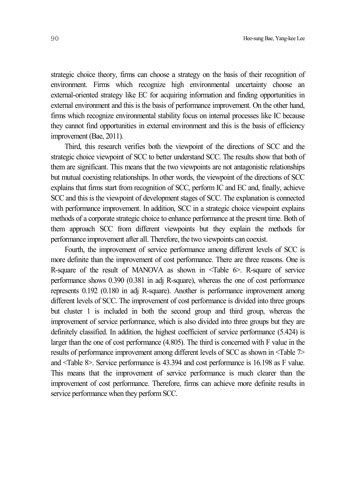strategic choice theory, firms can choose a strategy on the basis of their recognition of environment. Firms which recognize high environmental uncertainty choose an external-oriented strategy like EC for acquiring information and finding opportunities in external environment and this is the basis of performance improvement. On the other hand, firms which recognize environmental stability focus on internal processes like IC because they cannot find opportunities in external environment and this is the basis of efficiency improvement (Bae, 2011).

Third, this research verifies both the viewpoint of the directions of SCC and the strategic choice viewpoint of SCC to better understand SCC. The results show that both of them are significant. This means that the two viewpoints are not antagonistic relationships but mutual coexisting relationships. In other words, the viewpoint of the directions of SCC explains that firms start from recognition of SCC, perform IC and EC and, finally, achieve SCC and this is the viewpoint of development stages of SCC. The explanation is connected with performance improvement. In addition, SCC in a strategic choice viewpoint explains methods of a corporate strategic choice to enhance performance at the present time. Both of them approach SCC from different viewpoints but they explain the methods for performance improvement after all. Therefore, the two viewpoints can coexist.

Fourth, the improvement of service performance among different levels of SCC is more definite than the improvement of cost performance. There are three reasons. One is R-square of the result of MANOVA as shown in  $\leq$  Table  $6$ . R-square of service performance shows 0.390 (0.381 in adj R-square), whereas the one of cost performance represents 0.192 (0.180 in adj R-square). Another is performance improvement among different levels of SCC. The improvement of cost performance is divided into three groups but cluster 1 is included in both the second group and third group, whereas the improvement of service performance, which is also divided into three groups but they are definitely classified. In addition, the highest coefficient of service performance (5.424) is larger than the one of cost performance (4.805). The third is concerned with F value in the results of performance improvement among different levels of SCC as shown in <Table 7> and <Table 8>. Service performance is 43.394 and cost performance is 16.198 as F value. This means that the improvement of service performance is much clearer than the improvement of cost performance. Therefore, firms can achieve more definite results in service performance when they perform SCC.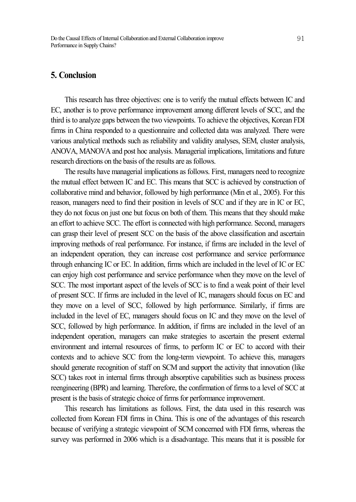# **5. Conclusion**

This research has three objectives: one is to verify the mutual effects between IC and EC, another is to prove performance improvement among different levels of SCC, and the third is to analyze gaps between the two viewpoints. To achieve the objectives, Korean FDI firms in China responded to a questionnaire and collected data was analyzed. There were various analytical methods such as reliability and validity analyses, SEM, cluster analysis, ANOVA, MANOVA and post hoc analysis. Managerial implications, limitations and future research directions on the basis of the results are as follows.

The results have managerial implications as follows. First, managers need to recognize the mutual effect between IC and EC. This means that SCC is achieved by construction of collaborative mind and behavior, followed by high performance (Min et al., 2005). For this reason, managers need to find their position in levels of SCC and if they are in IC or EC, they do not focus on just one but focus on both of them. This means that they should make an effort to achieve SCC. The effort is connected with high performance. Second, managers can grasp their level of present SCC on the basis of the above classification and ascertain improving methods of real performance. For instance, if firms are included in the level of an independent operation, they can increase cost performance and service performance through enhancing IC or EC. In addition, firms which are included in the level of IC or EC can enjoy high cost performance and service performance when they move on the level of SCC. The most important aspect of the levels of SCC is to find a weak point of their level of present SCC. If firms are included in the level of IC, managers should focus on EC and they move on a level of SCC, followed by high performance. Similarly, if firms are included in the level of EC, managers should focus on IC and they move on the level of SCC, followed by high performance. In addition, if firms are included in the level of an independent operation, managers can make strategies to ascertain the present external environment and internal resources of firms, to perform IC or EC to accord with their contexts and to achieve SCC from the long-term viewpoint. To achieve this, managers should generate recognition of staff on SCM and support the activity that innovation (like SCC) takes root in internal firms through absorptive capabilities such as business process reengineering (BPR) and learning. Therefore, the confirmation of firms to a level of SCC at present is the basis of strategic choice of firms for performance improvement.

This research has limitations as follows. First, the data used in this research was collected from Korean FDI firms in China. This is one of the advantages of this research because of verifying a strategic viewpoint of SCM concerned with FDI firms, whereas the survey was performed in 2006 which is a disadvantage. This means that it is possible for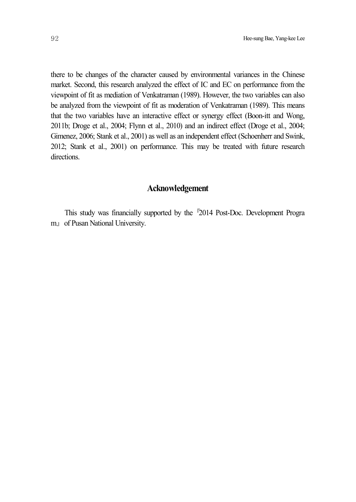there to be changes of the character caused by environmental variances in the Chinese market. Second, this research analyzed the effect of IC and EC on performance from the viewpoint of fit as mediation of Venkatraman (1989). However, the two variables can also be analyzed from the viewpoint of fit as moderation of Venkatraman (1989). This means that the two variables have an interactive effect or synergy effect (Boon-itt and Wong, 2011b; Droge et al., 2004; Flynn et al., 2010) and an indirect effect (Droge et al., 2004; Gimenez, 2006; Stank et al., 2001) as well as an independent effect (Schoenherr and Swink, 2012; Stank et al., 2001) on performance. This may be treated with future research directions.

# **Acknowledgement**

This study was financially supported by the <sup>[2014 Post-Doc. Development Progra]</sup> m』of Pusan National University.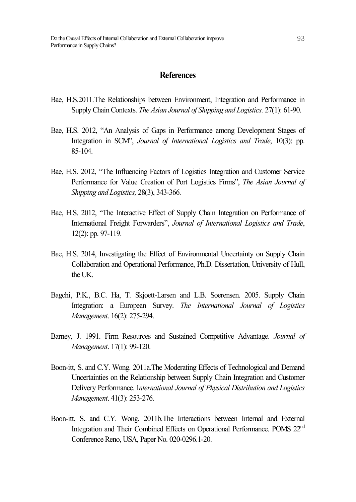### **References**

- Bae, H.S.2011.The Relationships between Environment, Integration and Performance in Supply Chain Contexts. *The Asian Journal of Shipping and Logistics.* 27(1): 61-90.
- Bae, H.S. 2012, "An Analysis of Gaps in Performance among Development Stages of Integration in SCM", *Journal of International Logistics and Trade*, 10(3): pp. 85-104.
- Bae, H.S. 2012, "The Influencing Factors of Logistics Integration and Customer Service Performance for Value Creation of Port Logistics Firms", *The Asian Journal of Shipping and Logistics,* 28(3), 343-366.
- Bae, H.S. 2012, "The Interactive Effect of Supply Chain Integration on Performance of International Freight Forwarders", *Journal of International Logistics and Trade*, 12(2): pp. 97-119.
- Bae, H.S. 2014, Investigating the Effect of Environmental Uncertainty on Supply Chain Collaboration and Operational Performance, Ph.D. Dissertation, University of Hull, the UK.
- Bagchi, P.K., B.C. Ha, T. Skjoett-Larsen and L.B. Soerensen. 2005. Supply Chain Integration: a European Survey. *The International Journal of Logistics Management*. 16(2): 275-294.
- Barney, J. 1991. Firm Resources and Sustained Competitive Advantage. *Journal of Management*. 17(1): 99-120.
- Boon-itt, S. and C.Y. Wong. 2011a.The Moderating Effects of Technological and Demand Uncertainties on the Relationship between Supply Chain Integration and Customer Delivery Performance. I*nternational Journal of Physical Distribution and Logistics Management*. 41(3): 253-276.
- Boon-itt, S. and C.Y. Wong. 2011b.The Interactions between Internal and External Integration and Their Combined Effects on Operational Performance. POMS 22<sup>nd</sup> Conference Reno, USA, Paper No. 020-0296.1-20.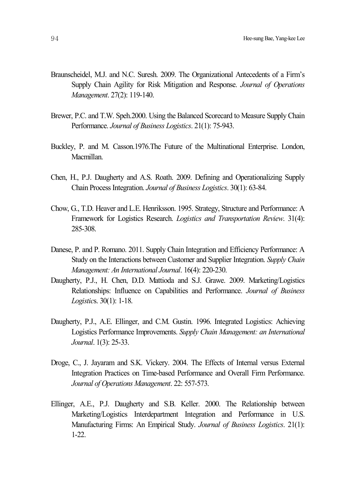- Braunscheidel, M.J. and N.C. Suresh. 2009. The Organizational Antecedents of a Firm's Supply Chain Agility for Risk Mitigation and Response. *Journal of Operations Management*. 27(2): 119-140.
- Brewer, P.C. and T.W. Speh.2000. Using the Balanced Scorecard to Measure Supply Chain Performance. *Journal of Business Logistics*. 21(1): 75-943.
- Buckley, P. and M. Casson.1976.The Future of the Multinational Enterprise. London, Macmillan.
- Chen, H., P.J. Daugherty and A.S. Roath. 2009. Defining and Operationalizing Supply Chain ProcessIntegration. *Journal of Business Logistics*. 30(1): 63-84.
- Chow, G., T.D. Heaver and L.E. Henriksson. 1995. Strategy, Structure and Performance: A Framework for Logistics Research. *Logistics and Transportation Review*. 31(4): 285-308.
- Danese, P. and P. Romano. 2011. Supply Chain Integration and Efficiency Performance: A Study on the Interactions between Customer and Supplier Integration. *Supply Chain Management: An International Journal*. 16(4): 220-230.
- Daugherty, P.J., H. Chen, D.D. Mattioda and S.J. Grawe. 2009. Marketing/Logistics Relationships: Influence on Capabilities and Performance. *Journal of Business Logistic*s. 30(1): 1-18.
- Daugherty, P.J., A.E. Ellinger, and C.M. Gustin. 1996. Integrated Logistics: Achieving Logistics Performance Improvements. *Supply Chain Management: an International Journal*. 1(3): 25-33.
- Droge, C., J. Jayaram and S.K. Vickery. 2004. The Effects of Internal versus External Integration Practices on Time-based Performance and Overall Firm Performance. *Journal of Operations Management*. 22: 557-573.
- Ellinger, A.E., P.J. Daugherty and S.B. Keller. 2000. The Relationship between Marketing/Logistics Interdepartment Integration and Performance in U.S. Manufacturing Firms: An Empirical Study. *Journal of Business Logistics*. 21(1): 1-22.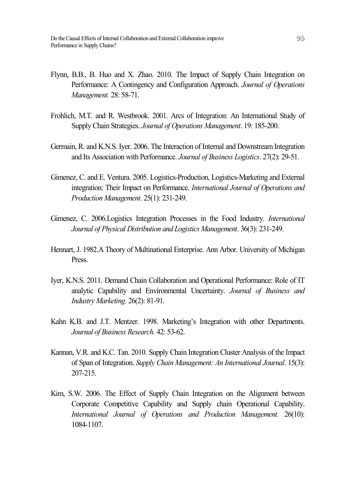- Flynn, B.B., B. Huo and X. Zhao. 2010. The Impact of Supply Chain Integration on Performance: A Contingency and Configuration Approach. *Journal of Operations Management.* 28: 58-71.
- Frohlich, M.T. and R. Westbrook. 2001. Arcs of Integration: An International Study of Supply Chain Strategies. *Journal of Operations Management*. 19: 185-200.
- Germain, R. and K.N.S. Iyer. 2006. The Interaction of Internal and Downstream Integration and Its Association with Performance. *Journal of Business Logistics*. 27(2): 29-51.
- Gimenez, C. and E. Ventura. 2005. Logistics-Production, Logistics-Marketing and External integration: Their Impact on Performance. *International Journal of Operations and Production Management*. 25(1): 231-249.
- Gimenez, C. 2006.Logistics Integration Processes in the Food Industry. *International Journal of Physical Distribution and Logistics Management*. 36(3): 231-249.
- Hennart, J. 1982.A Theory of Multinational Enterprise. Ann Arbor. University of Michigan **Press**.
- Iyer, K.N.S. 2011. Demand Chain Collaboration and Operational Performance: Role of IT analytic Capability and Environmental Uncertainty. *Journal of Business and Industry Marketing.* 26(2): 81-91.
- Kahn K.B. and J.T. Mentzer. 1998. Marketing's Integration with other Departments. *Journal of Business Research.* 42: 53-62.
- Kannan, V.R. and K.C. Tan. 2010. Supply Chain Integration Cluster Analysis of the Impact of Span of Integration. *Supply Chain Management: An International Journal*. 15(3): 207-215.
- Kim, S.W. 2006. The Effect of Supply Chain Integration on the Alignment between Corporate Competitive Capability and Supply chain Operational Capability. *International Journal of Operations and Production Management.* 26(10): 1084-1107.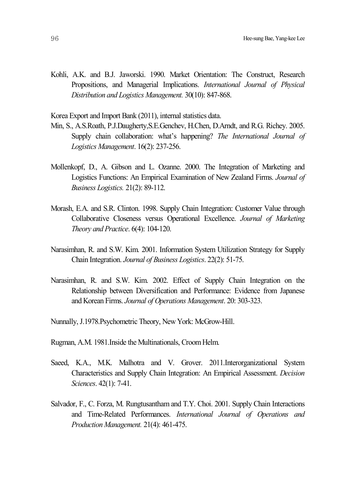Kohli, A.K. and B.J. Jaworski. 1990. Market Orientation: The Construct, Research Propositions, and Managerial Implications. *International Journal of Physical Distribution and Logistics Management.* 30(10): 847-868.

Korea Export and Import Bank (2011), internal statistics data.

- Min, S., A.S.Roath, P.J.Daugherty,S.E.Genchev, H.Chen, D.Arndt, and R.G. Richey. 2005. Supply chain collaboration: what's happening? *The International Journal of Logistics Management*. 16(2): 237-256.
- Mollenkopf, D., A. Gibson and L. Ozanne. 2000. The Integration of Marketing and Logistics Functions: An Empirical Examination of New Zealand Firms. *Journal of Business Logistics.* 21(2): 89-112.
- Morash, E.A. and S.R. Clinton. 1998. Supply Chain Integration: Customer Value through Collaborative Closeness versus Operational Excellence. *Journal of Marketing Theory and Practice*. 6(4): 104-120.
- Narasimhan, R. and S.W. Kim. 2001. Information System Utilization Strategy for Supply Chain Integration. *Journal of Business Logistics*. 22(2): 51-75.
- Narasimhan, R. and S.W. Kim. 2002. Effect of Supply Chain Integration on the Relationship between Diversification and Performance: Evidence from Japanese and Korean Firms. *Journal of Operations Management*. 20: 303-323.
- Nunnally, J.1978.Psychometric Theory, New York: McGrow-Hill.
- Rugman, A.M. 1981. Inside the Multinationals, Croom Helm.
- Saeed, K.A., M.K. Malhotra and V. Grover. 2011. Interorganizational System Characteristics and Supply Chain Integration: An Empirical Assessment. *Decision Sciences*. 42(1): 7-41.
- Salvador, F., C. Forza, M. Rungtusantham and T.Y. Choi. 2001. Supply Chain Interactions and Time-Related Performances. *International Journal of Operations and Production Management.* 21(4): 461-475.